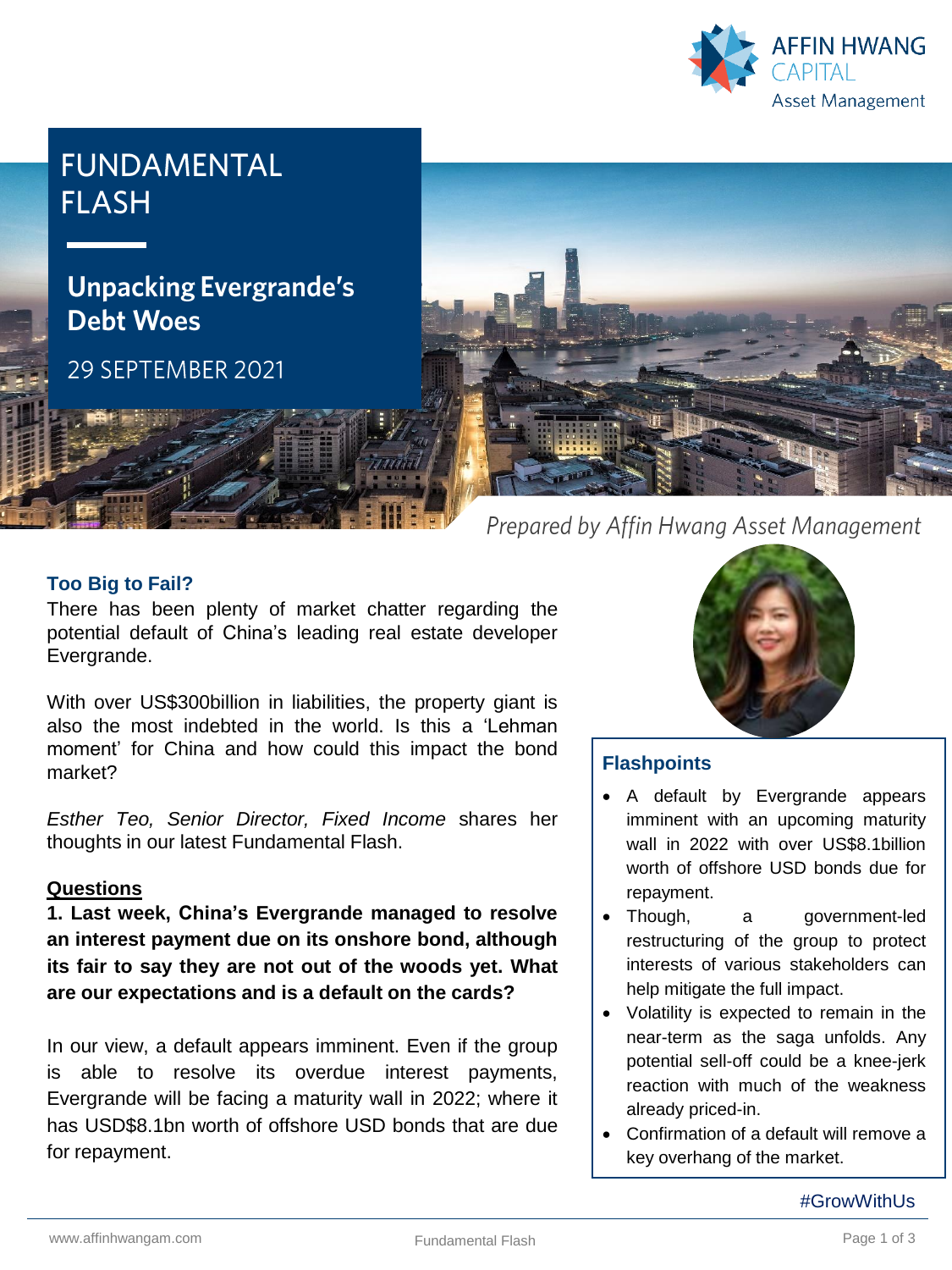

# **FUNDAMENTAL FLASH**

# **Unpacking Evergrande's Debt Woes**

29 SEPTEMBER 2021



### **Too Big to Fail?**

There has been plenty of market chatter regarding the potential default of China's leading real estate developer Evergrande.

With over US\$300billion in liabilities, the property giant is also the most indebted in the world. Is this a 'Lehman moment' for China and how could this impact the bond market?

*Esther Teo, Senior Director, Fixed Income* shares her thoughts in our latest Fundamental Flash.

#### **Questions**

**1. Last week, China's Evergrande managed to resolve an interest payment due on its onshore bond, although its fair to say they are not out of the woods yet. What are our expectations and is a default on the cards?**

In our view, a default appears imminent. Even if the group is able to resolve its overdue interest payments, Evergrande will be facing a maturity wall in 2022; where it has USD\$8.1bn worth of offshore USD bonds that are due for repayment.



## **Flashpoints**

- A default by Evergrande appears imminent with an upcoming maturity wall in 2022 with over US\$8.1billion worth of offshore USD bonds due for repayment.
- Though, a government-led restructuring of the group to protect interests of various stakeholders can help mitigate the full impact.
- Volatility is expected to remain in the near-term as the saga unfolds. Any potential sell-off could be a knee-jerk reaction with much of the weakness already priced-in.
- Confirmation of a default will remove a key overhang of the market.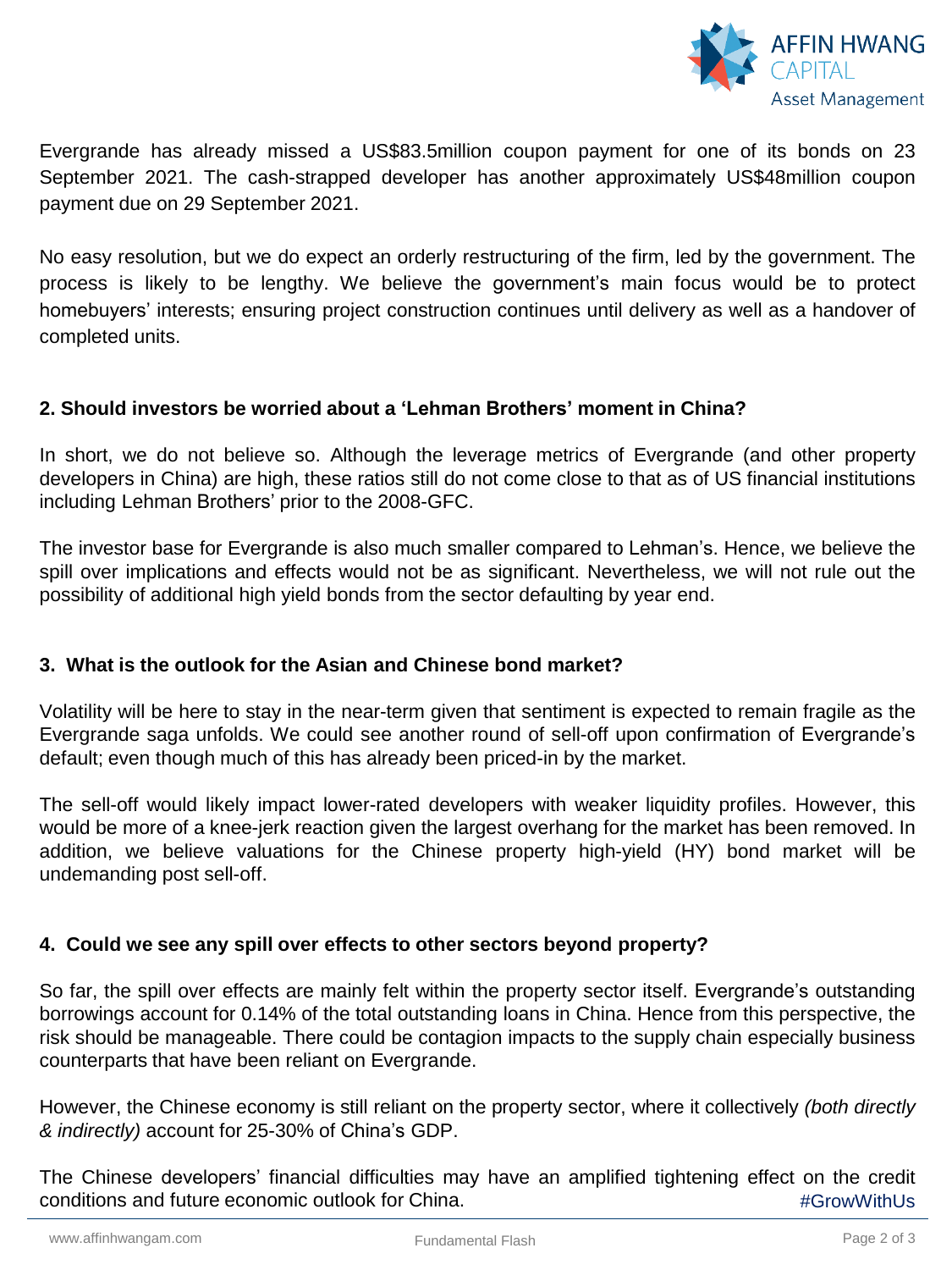

Evergrande has already missed a US\$83.5million coupon payment for one of its bonds on 23 September 2021. The cash-strapped developer has another approximately US\$48million coupon payment due on 29 September 2021.

No easy resolution, but we do expect an orderly restructuring of the firm, led by the government. The process is likely to be lengthy. We believe the government's main focus would be to protect homebuyers' interests; ensuring project construction continues until delivery as well as a handover of completed units.

### **2. Should investors be worried about a 'Lehman Brothers' moment in China?**

In short, we do not believe so. Although the leverage metrics of Evergrande (and other property developers in China) are high, these ratios still do not come close to that as of US financial institutions including Lehman Brothers' prior to the 2008-GFC.

The investor base for Evergrande is also much smaller compared to Lehman's. Hence, we believe the spill over implications and effects would not be as significant. Nevertheless, we will not rule out the possibility of additional high yield bonds from the sector defaulting by year end.

### **3. What is the outlook for the Asian and Chinese bond market?**

Volatility will be here to stay in the near-term given that sentiment is expected to remain fragile as the Evergrande saga unfolds. We could see another round of sell-off upon confirmation of Evergrande's default; even though much of this has already been priced-in by the market.

The sell-off would likely impact lower-rated developers with weaker liquidity profiles. However, this would be more of a knee-jerk reaction given the largest overhang for the market has been removed. In addition, we believe valuations for the Chinese property high-yield (HY) bond market will be undemanding post sell-off.

### **4. Could we see any spill over effects to other sectors beyond property?**

So far, the spill over effects are mainly felt within the property sector itself. Evergrande's outstanding borrowings account for 0.14% of the total outstanding loans in China. Hence from this perspective, the risk should be manageable. There could be contagion impacts to the supply chain especially business counterparts that have been reliant on Evergrande.

However, the Chinese economy is still reliant on the property sector, where it collectively *(both directly & indirectly)* account for 25-30% of China's GDP.

#GrowWithUs The Chinese developers' financial difficulties may have an amplified tightening effect on the credit conditions and future economic outlook for China.